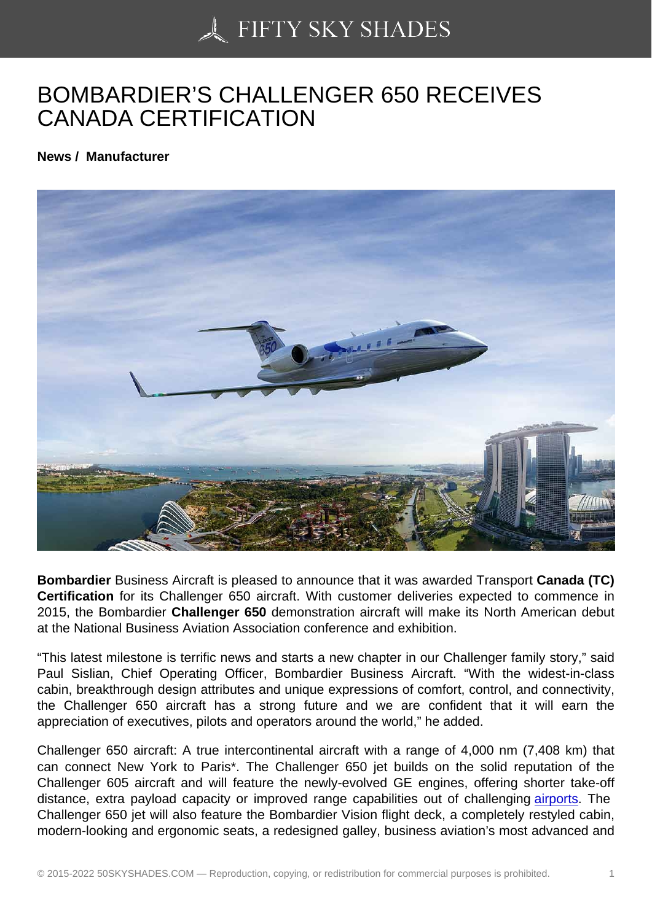## [BOMBARDIER'S CHA](https://50skyshades.com)LLENGER 650 RECEIVES CANADA CERTIFICATION

News / Manufacturer

Bombardier Business Aircraft is pleased to announce that it was awarded Transport Canada (TC) Certification for its Challenger 650 aircraft. With customer deliveries expected to commence in 2015, the Bombardier Challenger 650 demonstration aircraft will make its North American debut at the National Business Aviation Association conference and exhibition.

"This latest milestone is terrific news and starts a new chapter in our Challenger family story," said Paul Sislian, Chief Operating Officer, Bombardier Business Aircraft. "With the widest-in-class cabin, breakthrough design attributes and unique expressions of comfort, control, and connectivity, the Challenger 650 aircraft has a strong future and we are confident that it will earn the appreciation of executives, pilots and operators around the world," he added.

Challenger 650 aircraft: A true intercontinental aircraft with a range of 4,000 nm (7,408 km) that can connect New York to Paris\*. The Challenger 650 jet builds on the solid reputation of the Challenger 605 aircraft and will feature the newly-evolved GE engines, offering shorter take-off distance, extra payload capacity or improved range capabilities out of challenging airports. The Challenger 650 jet will also feature the Bombardier Vision flight deck, a completely restyled cabin, modern-looking and ergonomic seats, a redesigned galley, business aviation's most advanced and